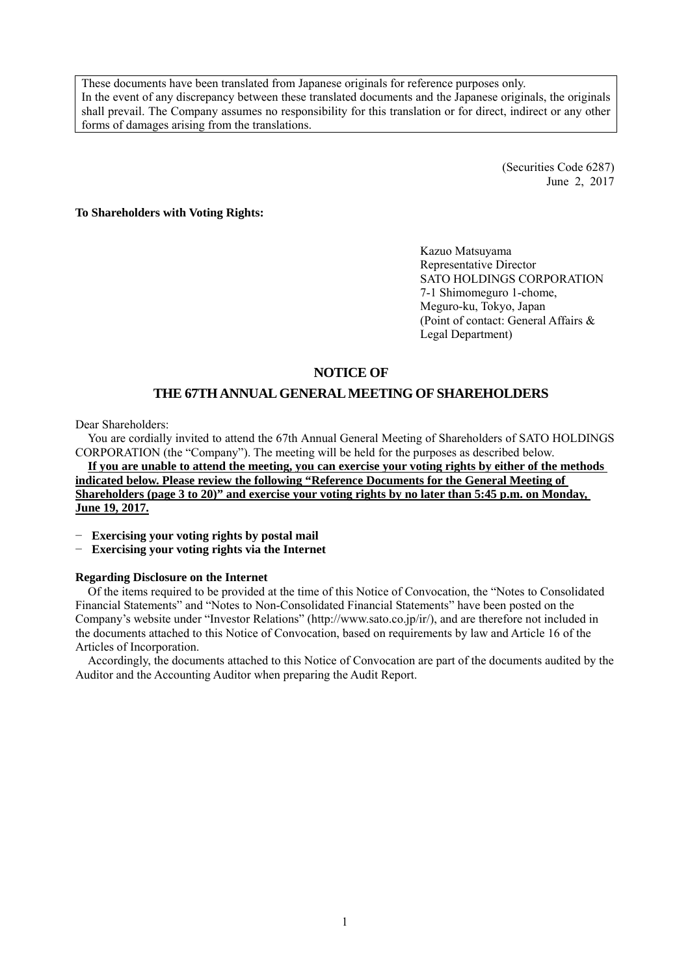These documents have been translated from Japanese originals for reference purposes only. In the event of any discrepancy between these translated documents and the Japanese originals, the originals shall prevail. The Company assumes no responsibility for this translation or for direct, indirect or any other forms of damages arising from the translations.

> (Securities Code 6287) June 2, 2017

**To Shareholders with Voting Rights:** 

Kazuo Matsuyama Representative Director SATO HOLDINGS CORPORATION 7-1 Shimomeguro 1-chome, Meguro-ku, Tokyo, Japan (Point of contact: General Affairs & Legal Department)

# **NOTICE OF**

# **THE 67TH ANNUAL GENERAL MEETING OF SHAREHOLDERS**

Dear Shareholders:

You are cordially invited to attend the 67th Annual General Meeting of Shareholders of SATO HOLDINGS CORPORATION (the "Company"). The meeting will be held for the purposes as described below.

**If you are unable to attend the meeting, you can exercise your voting rights by either of the methods indicated below. Please review the following "Reference Documents for the General Meeting of Shareholders (page 3 to 20)" and exercise your voting rights by no later than 5:45 p.m. on Monday, June 19, 2017.** 

− **Exercising your voting rights by postal mail** 

− **Exercising your voting rights via the Internet** 

#### **Regarding Disclosure on the Internet**

Of the items required to be provided at the time of this Notice of Convocation, the "Notes to Consolidated Financial Statements" and "Notes to Non-Consolidated Financial Statements" have been posted on the Company's website under "Investor Relations" (http://www.sato.co.jp/ir/), and are therefore not included in the documents attached to this Notice of Convocation, based on requirements by law and Article 16 of the Articles of Incorporation.

Accordingly, the documents attached to this Notice of Convocation are part of the documents audited by the Auditor and the Accounting Auditor when preparing the Audit Report.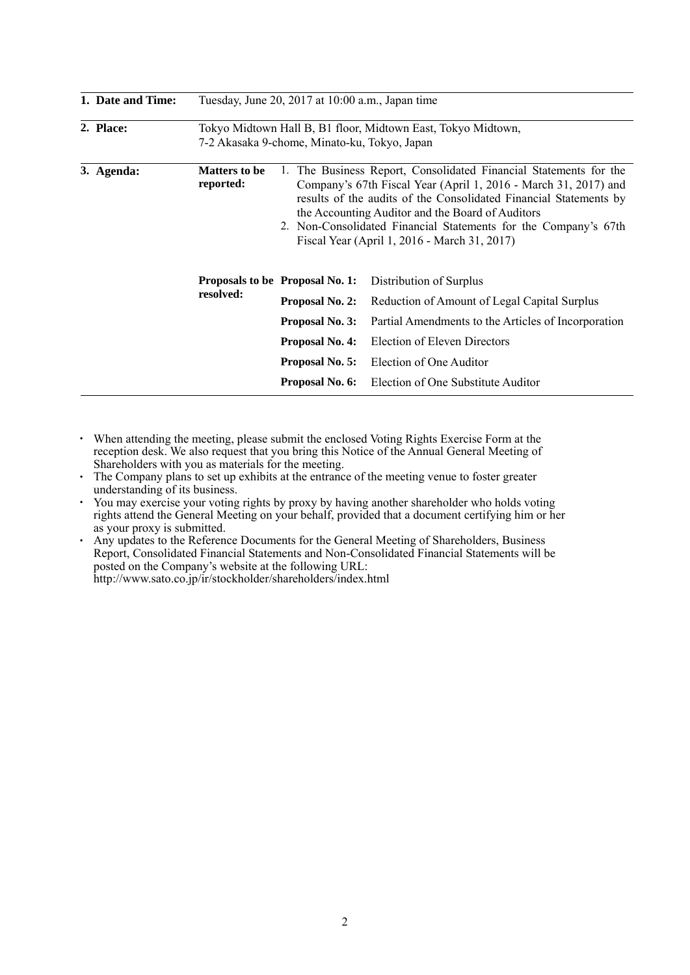| 1. Date and Time: | Tuesday, June 20, 2017 at 10:00 a.m., Japan time                                                             |                                                                                                                                                                                                                                                                                                                                                                                     |                                                     |  |
|-------------------|--------------------------------------------------------------------------------------------------------------|-------------------------------------------------------------------------------------------------------------------------------------------------------------------------------------------------------------------------------------------------------------------------------------------------------------------------------------------------------------------------------------|-----------------------------------------------------|--|
| 2. Place:         | Tokyo Midtown Hall B, B1 floor, Midtown East, Tokyo Midtown,<br>7-2 Akasaka 9-chome, Minato-ku, Tokyo, Japan |                                                                                                                                                                                                                                                                                                                                                                                     |                                                     |  |
| 3. Agenda:        | <b>Matters to be</b><br>reported:                                                                            | The Business Report, Consolidated Financial Statements for the<br>1.<br>Company's 67th Fiscal Year (April 1, 2016 - March 31, 2017) and<br>results of the audits of the Consolidated Financial Statements by<br>the Accounting Auditor and the Board of Auditors<br>2. Non-Consolidated Financial Statements for the Company's 67th<br>Fiscal Year (April 1, 2016 - March 31, 2017) |                                                     |  |
|                   |                                                                                                              | Proposals to be Proposal No. 1:                                                                                                                                                                                                                                                                                                                                                     | Distribution of Surplus                             |  |
|                   | resolved:                                                                                                    | Proposal No. 2:                                                                                                                                                                                                                                                                                                                                                                     | Reduction of Amount of Legal Capital Surplus        |  |
|                   |                                                                                                              | Proposal No. 3:                                                                                                                                                                                                                                                                                                                                                                     | Partial Amendments to the Articles of Incorporation |  |
|                   |                                                                                                              | <b>Proposal No. 4:</b>                                                                                                                                                                                                                                                                                                                                                              | Election of Eleven Directors                        |  |
|                   |                                                                                                              | Proposal No. 5:                                                                                                                                                                                                                                                                                                                                                                     | Election of One Auditor                             |  |
|                   |                                                                                                              | Proposal No. 6:                                                                                                                                                                                                                                                                                                                                                                     | Election of One Substitute Auditor                  |  |

- ・ When attending the meeting, please submit the enclosed Voting Rights Exercise Form at the reception desk. We also request that you bring this Notice of the Annual General Meeting of Shareholders with you as materials for the meeting.
- The Company plans to set up exhibits at the entrance of the meeting venue to foster greater understanding of its business.
- ・ You may exercise your voting rights by proxy by having another shareholder who holds voting rights attend the General Meeting on your behalf, provided that a document certifying him or her as your proxy is submitted.
- ・ Any updates to the Reference Documents for the General Meeting of Shareholders, Business Report, Consolidated Financial Statements and Non-Consolidated Financial Statements will be posted on the Company's website at the following URL: http://www.sato.co.jp/ir/stockholder/shareholders/index.html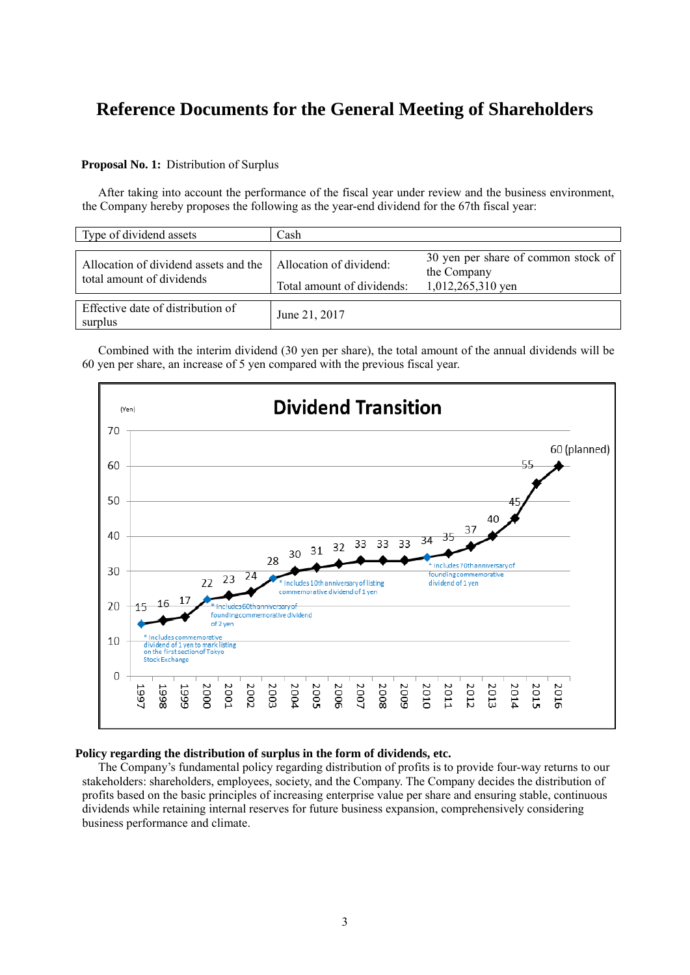# **Reference Documents for the General Meeting of Shareholders**

## **Proposal No. 1:** Distribution of Surplus

After taking into account the performance of the fiscal year under review and the business environment, the Company hereby proposes the following as the year-end dividend for the 67th fiscal year:

| Type of dividend assets                                            | Cash                                                  |                                                                         |  |  |
|--------------------------------------------------------------------|-------------------------------------------------------|-------------------------------------------------------------------------|--|--|
| Allocation of dividend assets and the<br>total amount of dividends | Allocation of dividend:<br>Total amount of dividends: | 30 yen per share of common stock of<br>the Company<br>1,012,265,310 yen |  |  |
| Effective date of distribution of<br>surplus                       | June 21, 2017                                         |                                                                         |  |  |

Combined with the interim dividend (30 yen per share), the total amount of the annual dividends will be 60 yen per share, an increase of 5 yen compared with the previous fiscal year.



## **Policy regarding the distribution of surplus in the form of dividends, etc.**

The Company's fundamental policy regarding distribution of profits is to provide four-way returns to our stakeholders: shareholders, employees, society, and the Company. The Company decides the distribution of profits based on the basic principles of increasing enterprise value per share and ensuring stable, continuous dividends while retaining internal reserves for future business expansion, comprehensively considering business performance and climate.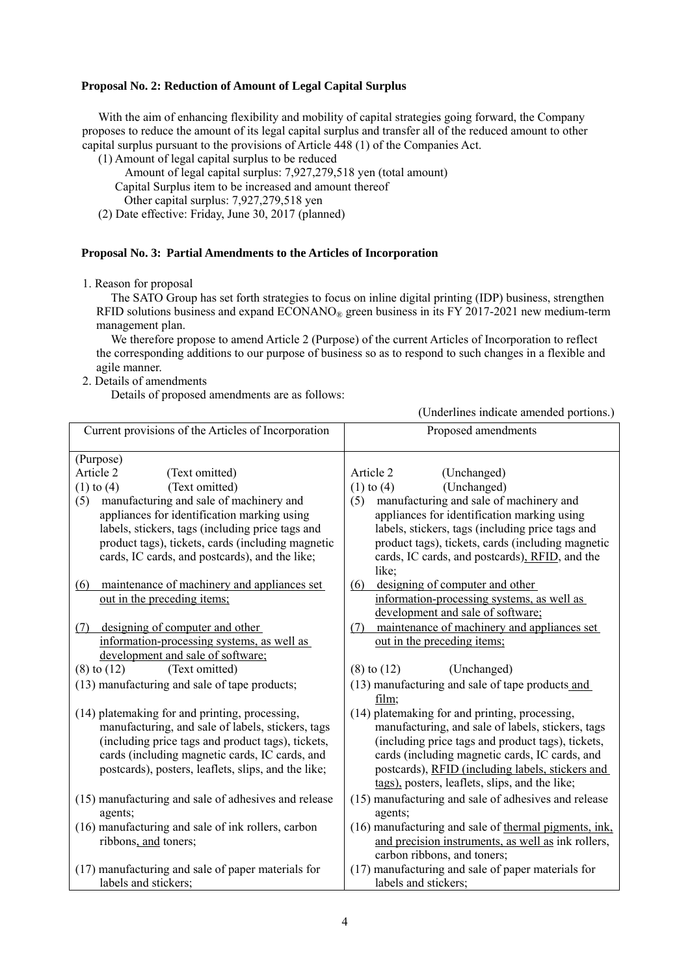#### **Proposal No. 2: Reduction of Amount of Legal Capital Surplus**

With the aim of enhancing flexibility and mobility of capital strategies going forward, the Company proposes to reduce the amount of its legal capital surplus and transfer all of the reduced amount to other capital surplus pursuant to the provisions of Article 448 (1) of the Companies Act.

- (1) Amount of legal capital surplus to be reduced
	- Amount of legal capital surplus: 7,927,279,518 yen (total amount)
	- Capital Surplus item to be increased and amount thereof
	- Other capital surplus: 7,927,279,518 yen
- (2) Date effective: Friday, June 30, 2017 (planned)

#### **Proposal No. 3: Partial Amendments to the Articles of Incorporation**

1. Reason for proposal

The SATO Group has set forth strategies to focus on inline digital printing (IDP) business, strengthen RFID solutions business and expand  $ECONANO<sub>®</sub>$  green business in its FY 2017-2021 new medium-term management plan.

We therefore propose to amend Article 2 (Purpose) of the current Articles of Incorporation to reflect the corresponding additions to our purpose of business so as to respond to such changes in a flexible and agile manner.

2. Details of amendments

Details of proposed amendments are as follows:

(Underlines indicate amended portions.)

| Current provisions of the Articles of Incorporation  | Proposed amendments                                   |
|------------------------------------------------------|-------------------------------------------------------|
| (Purpose)                                            |                                                       |
| Article 2<br>(Text omitted)                          | Article 2<br>(Unchanged)                              |
| (Text omitted)<br>$(1)$ to $(4)$                     | (Unchanged)<br>$(1)$ to $(4)$                         |
| manufacturing and sale of machinery and<br>(5)       | manufacturing and sale of machinery and<br>(5)        |
| appliances for identification marking using          | appliances for identification marking using           |
| labels, stickers, tags (including price tags and     | labels, stickers, tags (including price tags and      |
| product tags), tickets, cards (including magnetic    | product tags), tickets, cards (including magnetic     |
| cards, IC cards, and postcards), and the like;       | cards, IC cards, and postcards), RFID, and the        |
|                                                      | like;                                                 |
| maintenance of machinery and appliances set<br>(6)   | designing of computer and other<br>(6)                |
| out in the preceding items;                          | information-processing systems, as well as            |
|                                                      | development and sale of software;                     |
| designing of computer and other<br>(7)               | maintenance of machinery and appliances set<br>(7)    |
| information-processing systems, as well as           | out in the preceding items;                           |
| development and sale of software;                    |                                                       |
| (Text omitted)<br>$(8)$ to $(12)$                    | $(8)$ to $(12)$<br>(Unchanged)                        |
| (13) manufacturing and sale of tape products;        | (13) manufacturing and sale of tape products and      |
|                                                      | film;                                                 |
| (14) platemaking for and printing, processing,       | (14) platemaking for and printing, processing,        |
| manufacturing, and sale of labels, stickers, tags    | manufacturing, and sale of labels, stickers, tags     |
| (including price tags and product tags), tickets,    | (including price tags and product tags), tickets,     |
| cards (including magnetic cards, IC cards, and       | cards (including magnetic cards, IC cards, and        |
| postcards), posters, leaflets, slips, and the like;  | postcards), RFID (including labels, stickers and      |
|                                                      | tags), posters, leaflets, slips, and the like;        |
| (15) manufacturing and sale of adhesives and release | (15) manufacturing and sale of adhesives and release  |
| agents;                                              | agents;                                               |
| (16) manufacturing and sale of ink rollers, carbon   | (16) manufacturing and sale of thermal pigments, ink, |
| ribbons, and toners,                                 | and precision instruments, as well as ink rollers,    |
|                                                      | carbon ribbons, and toners;                           |
| (17) manufacturing and sale of paper materials for   | (17) manufacturing and sale of paper materials for    |
| labels and stickers;                                 | labels and stickers;                                  |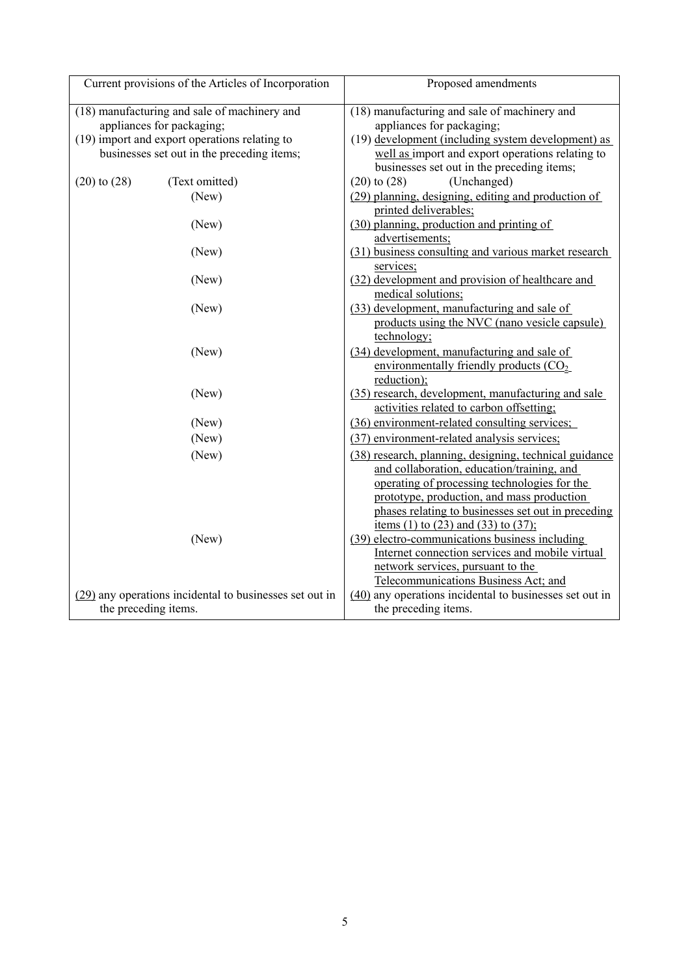| Current provisions of the Articles of Incorporation       | Proposed amendments                                                          |  |  |
|-----------------------------------------------------------|------------------------------------------------------------------------------|--|--|
| (18) manufacturing and sale of machinery and              | (18) manufacturing and sale of machinery and                                 |  |  |
| appliances for packaging;                                 | appliances for packaging;                                                    |  |  |
| (19) import and export operations relating to             | (19) development (including system development) as                           |  |  |
| businesses set out in the preceding items;                | well as import and export operations relating to                             |  |  |
|                                                           | businesses set out in the preceding items;                                   |  |  |
| $(20)$ to $(28)$<br>(Text omitted)                        | $(20)$ to $(28)$<br>(Unchanged)                                              |  |  |
| (New)                                                     | (29) planning, designing, editing and production of<br>printed deliverables; |  |  |
| (New)                                                     | (30) planning, production and printing of                                    |  |  |
|                                                           | advertisements;                                                              |  |  |
| (New)                                                     | (31) business consulting and various market research                         |  |  |
|                                                           | services;                                                                    |  |  |
| (New)                                                     | (32) development and provision of healthcare and                             |  |  |
|                                                           | medical solutions;                                                           |  |  |
| (New)                                                     | (33) development, manufacturing and sale of                                  |  |  |
|                                                           | products using the NVC (nano vesicle capsule)                                |  |  |
|                                                           | technology;                                                                  |  |  |
| (New)                                                     | (34) development, manufacturing and sale of                                  |  |  |
|                                                           | environmentally friendly products $(CO2)$                                    |  |  |
|                                                           | reduction);                                                                  |  |  |
| (New)                                                     | (35) research, development, manufacturing and sale                           |  |  |
|                                                           | activities related to carbon offsetting;                                     |  |  |
| (New)                                                     | (36) environment-related consulting services;                                |  |  |
| (New)                                                     | (37) environment-related analysis services;                                  |  |  |
| (New)                                                     | (38) research, planning, designing, technical guidance                       |  |  |
|                                                           | and collaboration, education/training, and                                   |  |  |
|                                                           | operating of processing technologies for the                                 |  |  |
|                                                           | prototype, production, and mass production                                   |  |  |
|                                                           | phases relating to businesses set out in preceding                           |  |  |
|                                                           | items (1) to (23) and (33) to (37);                                          |  |  |
| (New)                                                     | (39) electro-communications business including                               |  |  |
|                                                           | Internet connection services and mobile virtual                              |  |  |
|                                                           | network services, pursuant to the                                            |  |  |
|                                                           | Telecommunications Business Act; and                                         |  |  |
| $(29)$ any operations incidental to businesses set out in | (40) any operations incidental to businesses set out in                      |  |  |
| the preceding items.                                      | the preceding items.                                                         |  |  |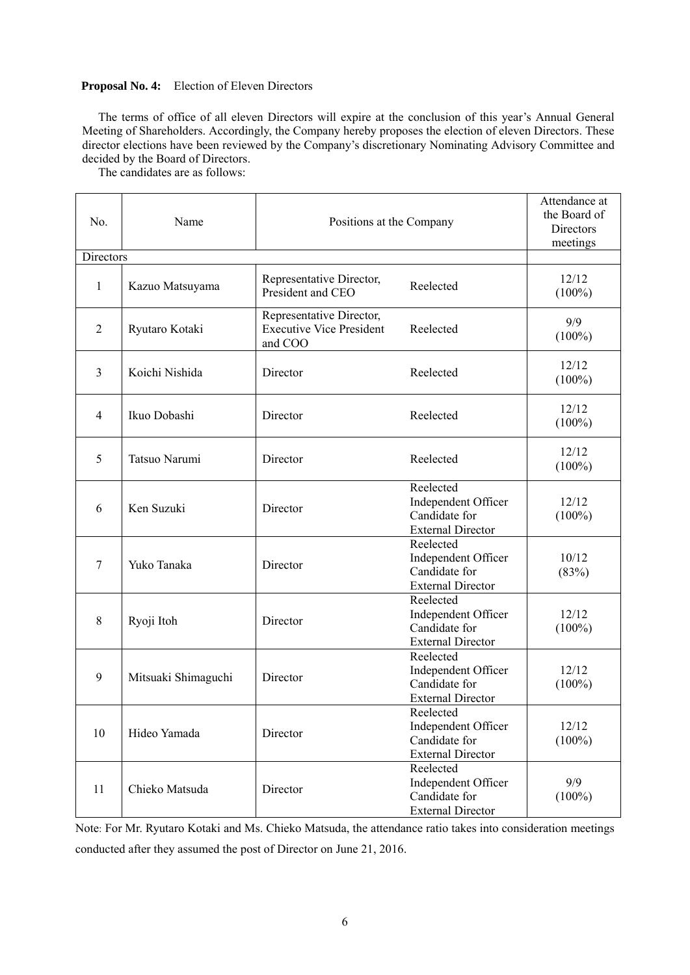# **Proposal No. 4:** Election of Eleven Directors

The terms of office of all eleven Directors will expire at the conclusion of this year's Annual General Meeting of Shareholders. Accordingly, the Company hereby proposes the election of eleven Directors. These director elections have been reviewed by the Company's discretionary Nominating Advisory Committee and decided by the Board of Directors.

The candidates are as follows:

| No.            | Name                | Positions at the Company                                               |                                                                               | Attendance at<br>the Board of<br>Directors<br>meetings |
|----------------|---------------------|------------------------------------------------------------------------|-------------------------------------------------------------------------------|--------------------------------------------------------|
| Directors      |                     |                                                                        |                                                                               |                                                        |
| $\mathbf{1}$   | Kazuo Matsuyama     | Representative Director,<br>President and CEO                          | Reelected                                                                     | 12/12<br>$(100\%)$                                     |
| $\overline{2}$ | Ryutaro Kotaki      | Representative Director,<br><b>Executive Vice President</b><br>and COO | Reelected                                                                     | 9/9<br>$(100\%)$                                       |
| 3              | Koichi Nishida      | Director                                                               | Reelected                                                                     | 12/12<br>$(100\%)$                                     |
| $\overline{4}$ | Ikuo Dobashi        | Director                                                               | Reelected                                                                     | 12/12<br>$(100\%)$                                     |
| 5              | Tatsuo Narumi       | Director                                                               | Reelected                                                                     | 12/12<br>$(100\%)$                                     |
| 6              | Ken Suzuki          | Director                                                               | Reelected<br>Independent Officer<br>Candidate for<br><b>External Director</b> | 12/12<br>$(100\%)$                                     |
| $\overline{7}$ | Yuko Tanaka         | Director                                                               | Reelected<br>Independent Officer<br>Candidate for<br><b>External Director</b> | 10/12<br>(83%)                                         |
| 8              | Ryoji Itoh          | Director                                                               | Reelected<br>Independent Officer<br>Candidate for<br><b>External Director</b> | 12/12<br>$(100\%)$                                     |
| 9              | Mitsuaki Shimaguchi | Director                                                               | Reelected<br>Independent Officer<br>Candidate for<br><b>External Director</b> | 12/12<br>$(100\%)$                                     |
| 10             | Hideo Yamada        | Director                                                               | Reelected<br>Independent Officer<br>Candidate for<br><b>External Director</b> | 12/12<br>$(100\%)$                                     |
| 11             | Chieko Matsuda      | Director                                                               | Reelected<br>Independent Officer<br>Candidate for<br><b>External Director</b> | 9/9<br>$(100\%)$                                       |

Note: For Mr. Ryutaro Kotaki and Ms. Chieko Matsuda, the attendance ratio takes into consideration meetings conducted after they assumed the post of Director on June 21, 2016.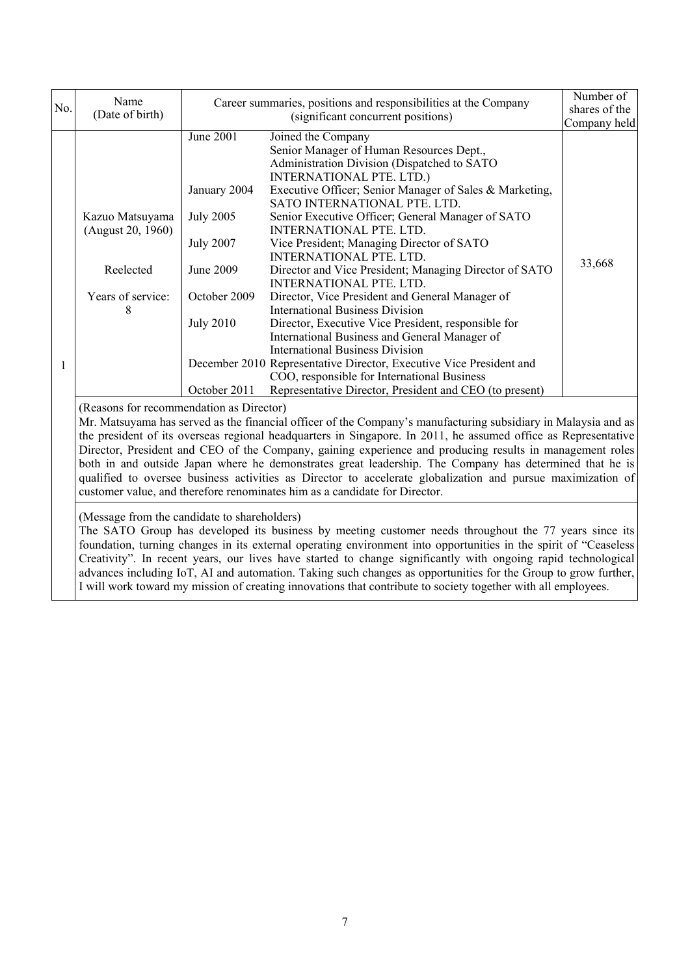| No. | Name<br>(Date of birth)                                                                                                                                                                                                                                                                                                                                                                | Career summaries, positions and responsibilities at the Company<br>(significant concurrent positions)                              |                                                                                                                                                                                                                                                                                                                                                                                                                                                                                                                                                                                                                                                                                                                                                                                                                                                                                                                                        | Number of<br>shares of the |
|-----|----------------------------------------------------------------------------------------------------------------------------------------------------------------------------------------------------------------------------------------------------------------------------------------------------------------------------------------------------------------------------------------|------------------------------------------------------------------------------------------------------------------------------------|----------------------------------------------------------------------------------------------------------------------------------------------------------------------------------------------------------------------------------------------------------------------------------------------------------------------------------------------------------------------------------------------------------------------------------------------------------------------------------------------------------------------------------------------------------------------------------------------------------------------------------------------------------------------------------------------------------------------------------------------------------------------------------------------------------------------------------------------------------------------------------------------------------------------------------------|----------------------------|
|     | Kazuo Matsuyama<br>(August 20, 1960)<br>Reelected<br>Years of service:<br>8                                                                                                                                                                                                                                                                                                            | June 2001<br>January 2004<br><b>July 2005</b><br><b>July 2007</b><br>June 2009<br>October 2009<br><b>July 2010</b><br>October 2011 | Joined the Company<br>Senior Manager of Human Resources Dept.,<br>Administration Division (Dispatched to SATO<br><b>INTERNATIONAL PTE. LTD.)</b><br>Executive Officer; Senior Manager of Sales & Marketing,<br>SATO INTERNATIONAL PTE. LTD.<br>Senior Executive Officer; General Manager of SATO<br>INTERNATIONAL PTE. LTD.<br>Vice President; Managing Director of SATO<br><b>INTERNATIONAL PTE, LTD.</b><br>Director and Vice President; Managing Director of SATO<br><b>INTERNATIONAL PTE. LTD.</b><br>Director, Vice President and General Manager of<br><b>International Business Division</b><br>Director, Executive Vice President, responsible for<br>International Business and General Manager of<br><b>International Business Division</b><br>December 2010 Representative Director, Executive Vice President and<br>COO, responsible for International Business<br>Representative Director, President and CEO (to present) | Company held<br>33,668     |
|     | (Reasons for recommendation as Director)<br>Mr. Matsuyama has served as the financial officer of the Company's manufacturing subsidiary in Malaysia and as<br>the president of its overseas regional headquarters in Singapore. In 2011, he assumed office as Representative<br>Director President and CEO of the Company gaining experience and producing results in management roles |                                                                                                                                    |                                                                                                                                                                                                                                                                                                                                                                                                                                                                                                                                                                                                                                                                                                                                                                                                                                                                                                                                        |                            |

Director, President and CEO of the Company, gaining experience and producing results in management roles both in and outside Japan where he demonstrates great leadership. The Company has determined that he is qualified to oversee business activities as Director to accelerate globalization and pursue maximization of customer value, and therefore renominates him as a candidate for Director.

(Message from the candidate to shareholders)

The SATO Group has developed its business by meeting customer needs throughout the 77 years since its foundation, turning changes in its external operating environment into opportunities in the spirit of "Ceaseless Creativity". In recent years, our lives have started to change significantly with ongoing rapid technological advances including IoT, AI and automation. Taking such changes as opportunities for the Group to grow further, I will work toward my mission of creating innovations that contribute to society together with all employees.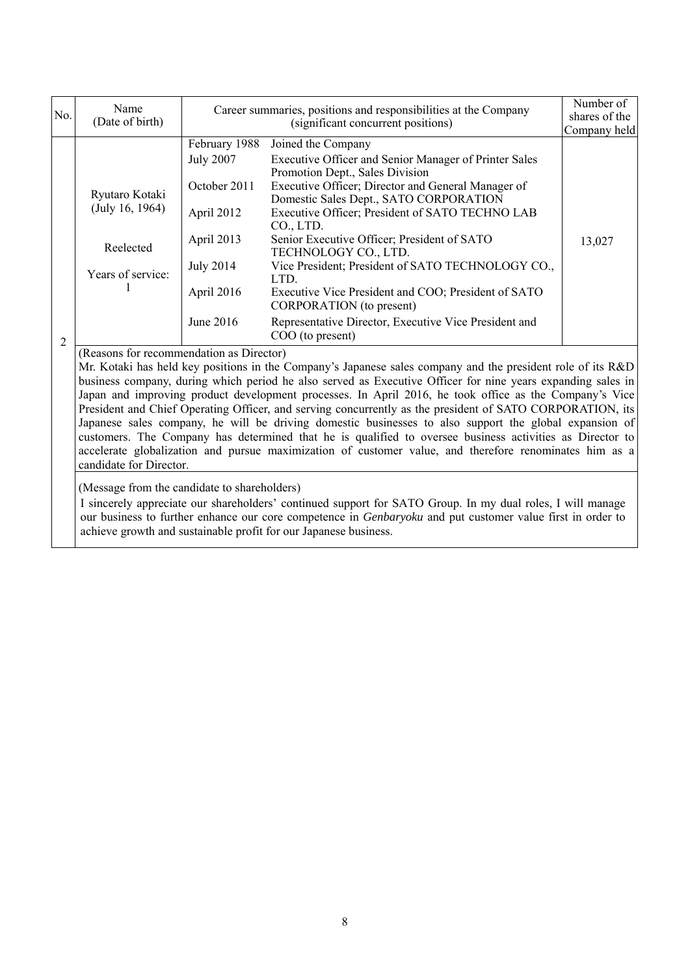| No.            | Name<br>(Date of birth)                                                                                                                                 |                                                                                                                 | Career summaries, positions and responsibilities at the Company<br>(significant concurrent positions)                                                                                                                                                                                                                                                                                                                                                                        | Number of<br>shares of the<br>Company held |  |
|----------------|---------------------------------------------------------------------------------------------------------------------------------------------------------|-----------------------------------------------------------------------------------------------------------------|------------------------------------------------------------------------------------------------------------------------------------------------------------------------------------------------------------------------------------------------------------------------------------------------------------------------------------------------------------------------------------------------------------------------------------------------------------------------------|--------------------------------------------|--|
|                | Ryutaro Kotaki<br>(July 16, 1964)<br>Reelected<br>Years of service:                                                                                     | February 1988<br><b>July 2007</b><br>October 2011<br>April 2012<br>April 2013<br><b>July 2014</b><br>April 2016 | Joined the Company<br>Executive Officer and Senior Manager of Printer Sales<br>Promotion Dept., Sales Division<br>Executive Officer; Director and General Manager of<br>Domestic Sales Dept., SATO CORPORATION<br>Executive Officer; President of SATO TECHNO LAB<br>$CO1$ , LTD.<br>Senior Executive Officer; President of SATO<br>TECHNOLOGY CO., LTD.<br>Vice President; President of SATO TECHNOLOGY CO.,<br>LTD.<br>Executive Vice President and COO; President of SATO | 13,027                                     |  |
| $\overline{2}$ |                                                                                                                                                         | June 2016                                                                                                       | CORPORATION (to present)<br>Representative Director, Executive Vice President and<br>COO (to present)                                                                                                                                                                                                                                                                                                                                                                        |                                            |  |
|                | (Reasons for recommendation as Director)<br>Mr. Kotaki has held key positions in the Company's Japanese sales company and the president role of its R&D |                                                                                                                 |                                                                                                                                                                                                                                                                                                                                                                                                                                                                              |                                            |  |

business company, during which period he also served as Executive Officer for nine years expanding sales in Japan and improving product development processes. In April 2016, he took office as the Company's Vice President and Chief Operating Officer, and serving concurrently as the president of SATO CORPORATION, its Japanese sales company, he will be driving domestic businesses to also support the global expansion of customers. The Company has determined that he is qualified to oversee business activities as Director to accelerate globalization and pursue maximization of customer value, and therefore renominates him as a candidate for Director.

(Message from the candidate to shareholders)

I sincerely appreciate our shareholders' continued support for SATO Group. In my dual roles, I will manage our business to further enhance our core competence in *Genbaryoku* and put customer value first in order to achieve growth and sustainable profit for our Japanese business.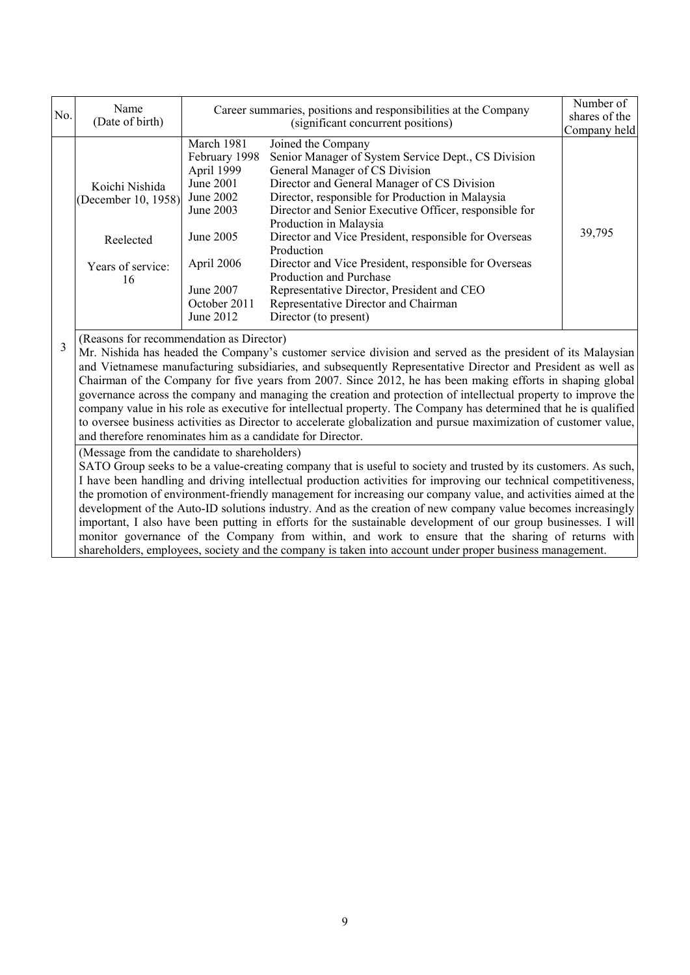| No.                                                                                                                                                         | Name<br>(Date of birth)                                                       | Career summaries, positions and responsibilities at the Company<br>(significant concurrent positions)                                                 |                                                                                                                                                                                                                                                                                                                                                                                                                                                                                                                                                                                                                                                                                                                                                                                                                           | Number of<br>shares of the<br>Company held |
|-------------------------------------------------------------------------------------------------------------------------------------------------------------|-------------------------------------------------------------------------------|-------------------------------------------------------------------------------------------------------------------------------------------------------|---------------------------------------------------------------------------------------------------------------------------------------------------------------------------------------------------------------------------------------------------------------------------------------------------------------------------------------------------------------------------------------------------------------------------------------------------------------------------------------------------------------------------------------------------------------------------------------------------------------------------------------------------------------------------------------------------------------------------------------------------------------------------------------------------------------------------|--------------------------------------------|
|                                                                                                                                                             | Koichi Nishida<br>(December 10, 1958)<br>Reelected<br>Years of service:<br>16 | March 1981<br>February 1998<br>April 1999<br>June 2001<br>June 2002<br>June 2003<br>June 2005<br>April 2006<br>June 2007<br>October 2011<br>June 2012 | Joined the Company<br>Senior Manager of System Service Dept., CS Division<br>General Manager of CS Division<br>Director and General Manager of CS Division<br>Director, responsible for Production in Malaysia<br>Director and Senior Executive Officer, responsible for<br>Production in Malaysia<br>Director and Vice President, responsible for Overseas<br>Production<br>Director and Vice President, responsible for Overseas<br>Production and Purchase<br>Representative Director, President and CEO<br>Representative Director and Chairman<br>Director (to present)                                                                                                                                                                                                                                              | 39,795                                     |
| (Reasons for recommendation as Director)<br>3<br>and therefore renominates him as a candidate for Director.<br>(Message from the candidate to shareholders) |                                                                               |                                                                                                                                                       | Mr. Nishida has headed the Company's customer service division and served as the president of its Malaysian<br>and Vietnamese manufacturing subsidiaries, and subsequently Representative Director and President as well as<br>Chairman of the Company for five years from 2007. Since 2012, he has been making efforts in shaping global<br>governance across the company and managing the creation and protection of intellectual property to improve the<br>company value in his role as executive for intellectual property. The Company has determined that he is qualified<br>to oversee business activities as Director to accelerate globalization and pursue maximization of customer value,<br>SATO Group seeks to be a value-creating company that is useful to society and trusted by its customers. As such, |                                            |

I have been handling and driving intellectual production activities for improving our technical competitiveness, the promotion of environment-friendly management for increasing our company value, and activities aimed at the development of the Auto-ID solutions industry. And as the creation of new company value becomes increasingly important, I also have been putting in efforts for the sustainable development of our group businesses. I will monitor governance of the Company from within, and work to ensure that the sharing of returns with shareholders, employees, society and the company is taken into account under proper business management.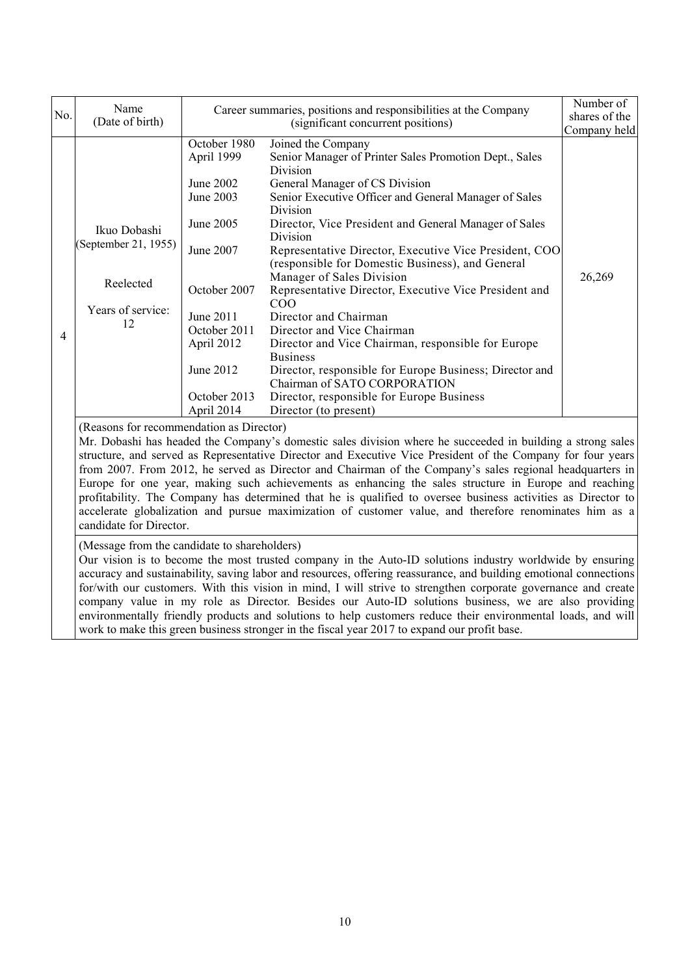|                                                                                                                                                                                                                                                                               | Name                                                                                                                                                                                                                                                                                                                                                                                                                                                                                                                                                                                                                                                                                                                                            | Career summaries, positions and responsibilities at the Company                                                                                                                      |                                                                                                                                                                                                                                                                                                                                                                                                                                                                                                                                                                                                                                                                                                                                                                                  | Number of              |  |
|-------------------------------------------------------------------------------------------------------------------------------------------------------------------------------------------------------------------------------------------------------------------------------|-------------------------------------------------------------------------------------------------------------------------------------------------------------------------------------------------------------------------------------------------------------------------------------------------------------------------------------------------------------------------------------------------------------------------------------------------------------------------------------------------------------------------------------------------------------------------------------------------------------------------------------------------------------------------------------------------------------------------------------------------|--------------------------------------------------------------------------------------------------------------------------------------------------------------------------------------|----------------------------------------------------------------------------------------------------------------------------------------------------------------------------------------------------------------------------------------------------------------------------------------------------------------------------------------------------------------------------------------------------------------------------------------------------------------------------------------------------------------------------------------------------------------------------------------------------------------------------------------------------------------------------------------------------------------------------------------------------------------------------------|------------------------|--|
| No.                                                                                                                                                                                                                                                                           | (Date of birth)                                                                                                                                                                                                                                                                                                                                                                                                                                                                                                                                                                                                                                                                                                                                 |                                                                                                                                                                                      | (significant concurrent positions)                                                                                                                                                                                                                                                                                                                                                                                                                                                                                                                                                                                                                                                                                                                                               | shares of the          |  |
| 4                                                                                                                                                                                                                                                                             | Ikuo Dobashi<br>(September 21, 1955)<br>Reelected<br>Years of service:<br>12                                                                                                                                                                                                                                                                                                                                                                                                                                                                                                                                                                                                                                                                    | October 1980<br>April 1999<br>June 2002<br>June 2003<br>June 2005<br>June 2007<br>October 2007<br>June 2011<br>October 2011<br>April 2012<br>June 2012<br>October 2013<br>April 2014 | Joined the Company<br>Senior Manager of Printer Sales Promotion Dept., Sales<br>Division<br>General Manager of CS Division<br>Senior Executive Officer and General Manager of Sales<br>Division<br>Director, Vice President and General Manager of Sales<br>Division<br>Representative Director, Executive Vice President, COO<br>(responsible for Domestic Business), and General<br>Manager of Sales Division<br>Representative Director, Executive Vice President and<br>COO<br>Director and Chairman<br>Director and Vice Chairman<br>Director and Vice Chairman, responsible for Europe<br><b>Business</b><br>Director, responsible for Europe Business; Director and<br>Chairman of SATO CORPORATION<br>Director, responsible for Europe Business<br>Director (to present) | Company held<br>26,269 |  |
|                                                                                                                                                                                                                                                                               | (Reasons for recommendation as Director)<br>Mr. Dobashi has headed the Company's domestic sales division where he succeeded in building a strong sales<br>structure, and served as Representative Director and Executive Vice President of the Company for four years<br>from 2007. From 2012, he served as Director and Chairman of the Company's sales regional headquarters in<br>Europe for one year, making such achievements as enhancing the sales structure in Europe and reaching<br>profitability. The Company has determined that he is qualified to oversee business activities as Director to<br>accelerate globalization and pursue maximization of customer value, and therefore renominates him as a<br>candidate for Director. |                                                                                                                                                                                      |                                                                                                                                                                                                                                                                                                                                                                                                                                                                                                                                                                                                                                                                                                                                                                                  |                        |  |
| (Message from the candidate to shareholders)<br>Our vision is to become the most trusted company in the Auto-ID solutions industry worldwide by ensuring<br>accuracy and sustainability, saving labor and resources, offering reassurance, and building emotional connections |                                                                                                                                                                                                                                                                                                                                                                                                                                                                                                                                                                                                                                                                                                                                                 |                                                                                                                                                                                      |                                                                                                                                                                                                                                                                                                                                                                                                                                                                                                                                                                                                                                                                                                                                                                                  |                        |  |

for/with our customers. With this vision in mind, I will strive to strengthen corporate governance and create company value in my role as Director. Besides our Auto-ID solutions business, we are also providing environmentally friendly products and solutions to help customers reduce their environmental loads, and will work to make this green business stronger in the fiscal year 2017 to expand our profit base.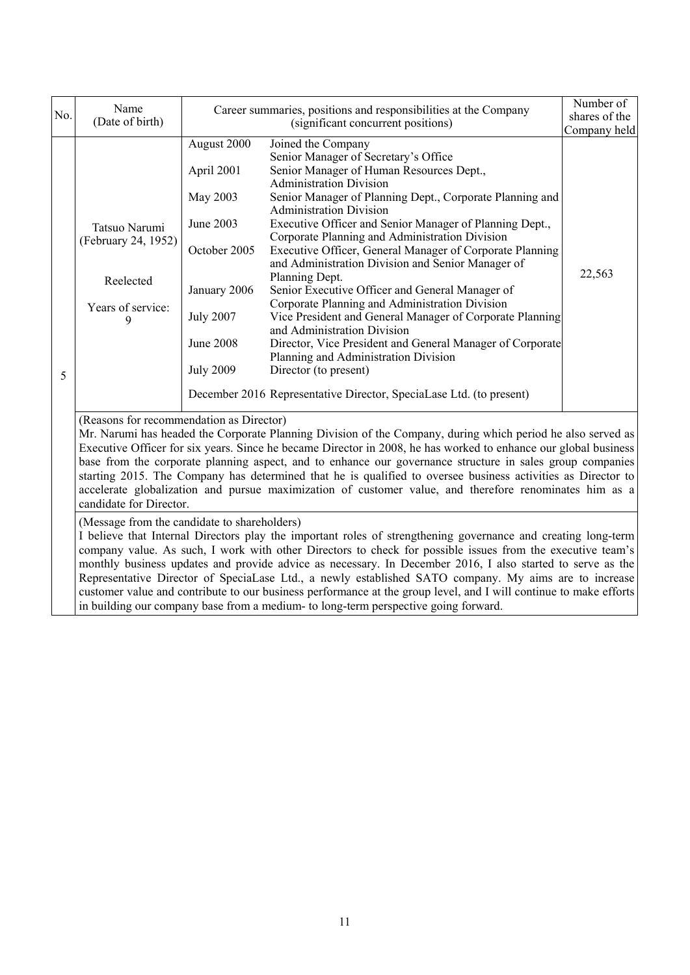|     |                                                                                                                                                                                                                                                                                                                                                                                                                                                                                                                                                                                                                                                                                                                |                                                                                                                                                |                                                                                                                                                                                                                                                                                                                                                                                                                                                                                                                                                                                                                                                                                                                                                                                                                                                                                             | Number of     |  |
|-----|----------------------------------------------------------------------------------------------------------------------------------------------------------------------------------------------------------------------------------------------------------------------------------------------------------------------------------------------------------------------------------------------------------------------------------------------------------------------------------------------------------------------------------------------------------------------------------------------------------------------------------------------------------------------------------------------------------------|------------------------------------------------------------------------------------------------------------------------------------------------|---------------------------------------------------------------------------------------------------------------------------------------------------------------------------------------------------------------------------------------------------------------------------------------------------------------------------------------------------------------------------------------------------------------------------------------------------------------------------------------------------------------------------------------------------------------------------------------------------------------------------------------------------------------------------------------------------------------------------------------------------------------------------------------------------------------------------------------------------------------------------------------------|---------------|--|
| No. | Name                                                                                                                                                                                                                                                                                                                                                                                                                                                                                                                                                                                                                                                                                                           |                                                                                                                                                | Career summaries, positions and responsibilities at the Company                                                                                                                                                                                                                                                                                                                                                                                                                                                                                                                                                                                                                                                                                                                                                                                                                             | shares of the |  |
|     | (Date of birth)                                                                                                                                                                                                                                                                                                                                                                                                                                                                                                                                                                                                                                                                                                | (significant concurrent positions)                                                                                                             |                                                                                                                                                                                                                                                                                                                                                                                                                                                                                                                                                                                                                                                                                                                                                                                                                                                                                             | Company held  |  |
| 5   | Tatsuo Narumi<br>(February 24, 1952)<br>Reelected<br>Years of service:<br>9                                                                                                                                                                                                                                                                                                                                                                                                                                                                                                                                                                                                                                    | August 2000<br>April 2001<br>May 2003<br>June 2003<br>October 2005<br>January 2006<br><b>July 2007</b><br><b>June 2008</b><br><b>July 2009</b> | Joined the Company<br>Senior Manager of Secretary's Office<br>Senior Manager of Human Resources Dept.,<br><b>Administration Division</b><br>Senior Manager of Planning Dept., Corporate Planning and<br><b>Administration Division</b><br>Executive Officer and Senior Manager of Planning Dept.,<br>Corporate Planning and Administration Division<br>Executive Officer, General Manager of Corporate Planning<br>and Administration Division and Senior Manager of<br>Planning Dept.<br>Senior Executive Officer and General Manager of<br>Corporate Planning and Administration Division<br>Vice President and General Manager of Corporate Planning<br>and Administration Division<br>Director, Vice President and General Manager of Corporate<br>Planning and Administration Division<br>Director (to present)<br>December 2016 Representative Director, SpeciaLase Ltd. (to present) | 22,563        |  |
|     | (Reasons for recommendation as Director)<br>Mr. Narumi has headed the Corporate Planning Division of the Company, during which period he also served as<br>Executive Officer for six years. Since he became Director in 2008, he has worked to enhance our global business<br>base from the corporate planning aspect, and to enhance our governance structure in sales group companies<br>starting 2015. The Company has determined that he is qualified to oversee business activities as Director to<br>accelerate globalization and pursue maximization of customer value, and therefore renominates him as a<br>candidate for Director.                                                                   |                                                                                                                                                |                                                                                                                                                                                                                                                                                                                                                                                                                                                                                                                                                                                                                                                                                                                                                                                                                                                                                             |               |  |
|     | (Message from the candidate to shareholders)<br>I believe that Internal Directors play the important roles of strengthening governance and creating long-term<br>company value. As such, I work with other Directors to check for possible issues from the executive team's<br>monthly business updates and provide advice as necessary. In December 2016, I also started to serve as the<br>Representative Director of SpeciaLase Ltd., a newly established SATO company. My aims are to increase<br>customer value and contribute to our business performance at the group level, and I will continue to make efforts<br>in building our company base from a medium- to long-term perspective going forward. |                                                                                                                                                |                                                                                                                                                                                                                                                                                                                                                                                                                                                                                                                                                                                                                                                                                                                                                                                                                                                                                             |               |  |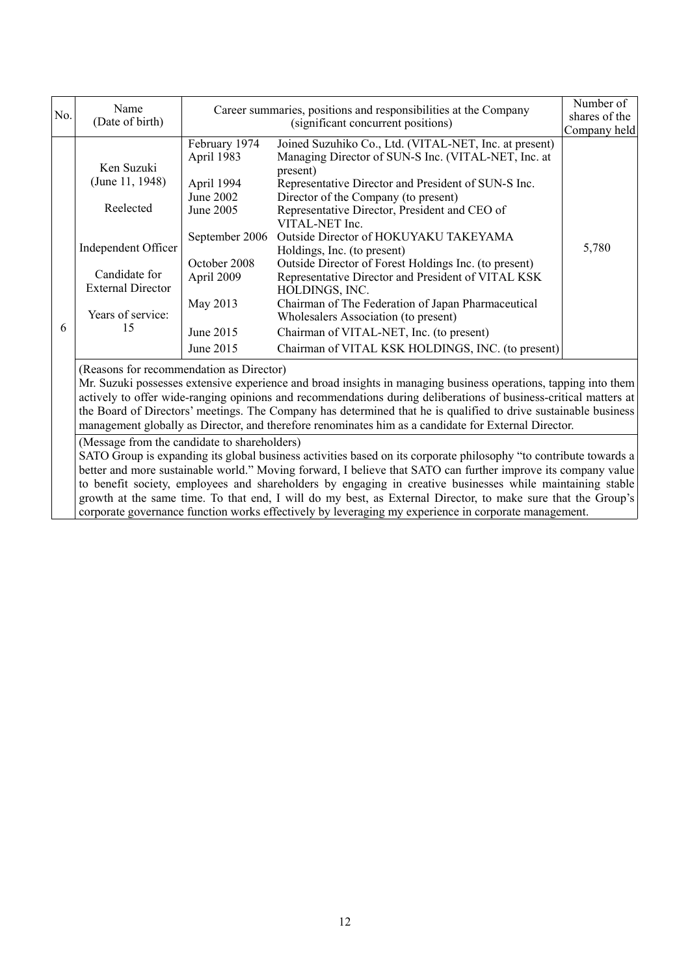| No. | Name<br>(Date of birth)                                                                                                                                                                                                                                                                                                                                                                                                                                                                                                                                                                                                                                                         |                                                                                                                                                           | Career summaries, positions and responsibilities at the Company<br>(significant concurrent positions)                                                                                                                                                                                                                                                                                                                                                                                                                                                                                                                                                                                               | Number of<br>shares of the<br>Company held |
|-----|---------------------------------------------------------------------------------------------------------------------------------------------------------------------------------------------------------------------------------------------------------------------------------------------------------------------------------------------------------------------------------------------------------------------------------------------------------------------------------------------------------------------------------------------------------------------------------------------------------------------------------------------------------------------------------|-----------------------------------------------------------------------------------------------------------------------------------------------------------|-----------------------------------------------------------------------------------------------------------------------------------------------------------------------------------------------------------------------------------------------------------------------------------------------------------------------------------------------------------------------------------------------------------------------------------------------------------------------------------------------------------------------------------------------------------------------------------------------------------------------------------------------------------------------------------------------------|--------------------------------------------|
| 6   | Ken Suzuki<br>(June 11, 1948)<br>Reelected<br>Independent Officer<br>Candidate for<br><b>External Director</b><br>Years of service:<br>15                                                                                                                                                                                                                                                                                                                                                                                                                                                                                                                                       | February 1974<br>April 1983<br>April 1994<br>June 2002<br>June 2005<br>September 2006<br>October 2008<br>April 2009<br>May 2013<br>June 2015<br>June 2015 | Joined Suzuhiko Co., Ltd. (VITAL-NET, Inc. at present)<br>Managing Director of SUN-S Inc. (VITAL-NET, Inc. at<br>present)<br>Representative Director and President of SUN-S Inc.<br>Director of the Company (to present)<br>Representative Director, President and CEO of<br>VITAL-NET Inc.<br>Outside Director of HOKUYAKU TAKEYAMA<br>Holdings, Inc. (to present)<br>Outside Director of Forest Holdings Inc. (to present)<br>Representative Director and President of VITAL KSK<br>HOLDINGS, INC.<br>Chairman of The Federation of Japan Pharmaceutical<br>Wholesalers Association (to present)<br>Chairman of VITAL-NET, Inc. (to present)<br>Chairman of VITAL KSK HOLDINGS, INC. (to present) | 5,780                                      |
|     | (Reasons for recommendation as Director)<br>Mr. Suzuki possesses extensive experience and broad insights in managing business operations, tapping into them<br>actively to offer wide-ranging opinions and recommendations during deliberations of business-critical matters at<br>the Board of Directors' meetings. The Company has determined that he is qualified to drive sustainable business<br>management globally as Director, and therefore renominates him as a candidate for External Director.<br>(Message from the candidate to shareholders)<br>SATO Group is expanding its global business activities based on its corporate philosophy "to contribute towards a |                                                                                                                                                           |                                                                                                                                                                                                                                                                                                                                                                                                                                                                                                                                                                                                                                                                                                     |                                            |

better and more sustainable world." Moving forward, I believe that SATO can further improve its company value to benefit society, employees and shareholders by engaging in creative businesses while maintaining stable growth at the same time. To that end, I will do my best, as External Director, to make sure that the Group's corporate governance function works effectively by leveraging my experience in corporate management.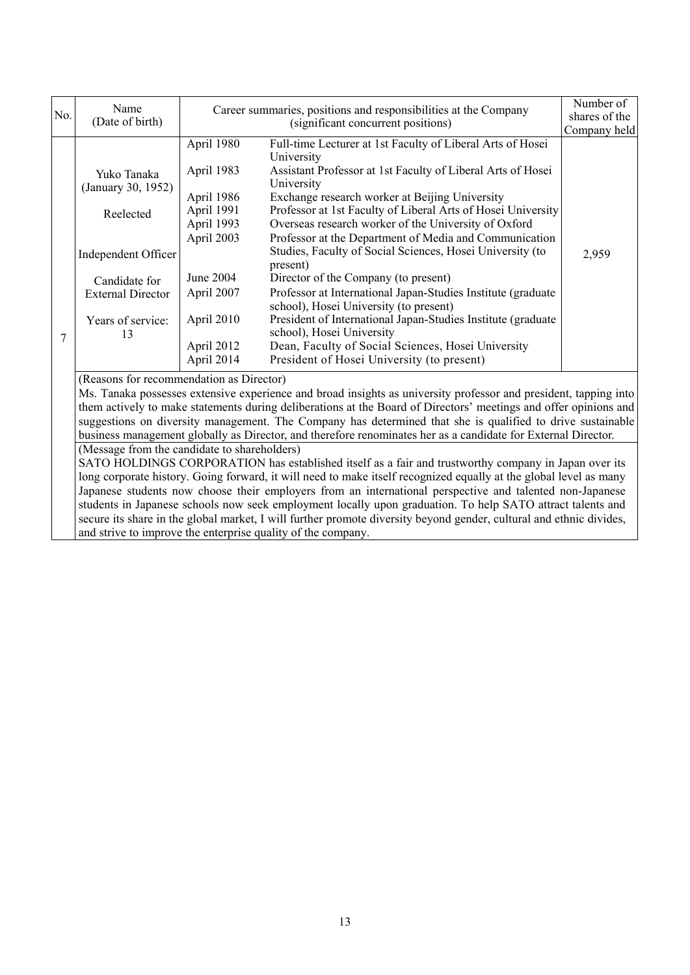|     | Name                                                                                                                                                                                                                                                                                                                                                                                                                                                                                                                                                                                                                                                                                       | Career summaries, positions and responsibilities at the Company                               |                                                                                                                                                                                                                                                                                                                                                                                                                                                                                                            | Number of     |  |
|-----|--------------------------------------------------------------------------------------------------------------------------------------------------------------------------------------------------------------------------------------------------------------------------------------------------------------------------------------------------------------------------------------------------------------------------------------------------------------------------------------------------------------------------------------------------------------------------------------------------------------------------------------------------------------------------------------------|-----------------------------------------------------------------------------------------------|------------------------------------------------------------------------------------------------------------------------------------------------------------------------------------------------------------------------------------------------------------------------------------------------------------------------------------------------------------------------------------------------------------------------------------------------------------------------------------------------------------|---------------|--|
| No. | (Date of birth)                                                                                                                                                                                                                                                                                                                                                                                                                                                                                                                                                                                                                                                                            |                                                                                               | (significant concurrent positions)                                                                                                                                                                                                                                                                                                                                                                                                                                                                         | shares of the |  |
|     |                                                                                                                                                                                                                                                                                                                                                                                                                                                                                                                                                                                                                                                                                            |                                                                                               |                                                                                                                                                                                                                                                                                                                                                                                                                                                                                                            | Company held  |  |
| 7   | Yuko Tanaka<br>(January 30, 1952)<br>Reelected<br>Independent Officer<br>Candidate for                                                                                                                                                                                                                                                                                                                                                                                                                                                                                                                                                                                                     | April 1980<br>April 1983<br>April 1986<br>April 1991<br>April 1993<br>April 2003<br>June 2004 | Full-time Lecturer at 1st Faculty of Liberal Arts of Hosei<br>University<br>Assistant Professor at 1st Faculty of Liberal Arts of Hosei<br>University<br>Exchange research worker at Beijing University<br>Professor at 1st Faculty of Liberal Arts of Hosei University<br>Overseas research worker of the University of Oxford<br>Professor at the Department of Media and Communication<br>Studies, Faculty of Social Sciences, Hosei University (to<br>present)<br>Director of the Company (to present) | 2,959         |  |
|     | <b>External Director</b><br>Years of service:<br>13                                                                                                                                                                                                                                                                                                                                                                                                                                                                                                                                                                                                                                        | April 2007<br>April 2010<br>April 2012<br>April 2014                                          | Professor at International Japan-Studies Institute (graduate<br>school), Hosei University (to present)<br>President of International Japan-Studies Institute (graduate<br>school), Hosei University<br>Dean, Faculty of Social Sciences, Hosei University<br>President of Hosei University (to present)                                                                                                                                                                                                    |               |  |
|     | (Reasons for recommendation as Director)<br>Ms. Tanaka possesses extensive experience and broad insights as university professor and president, tapping into<br>them actively to make statements during deliberations at the Board of Directors' meetings and offer opinions and<br>suggestions on diversity management. The Company has determined that she is qualified to drive sustainable<br>business management globally as Director, and therefore renominates her as a candidate for External Director.                                                                                                                                                                            |                                                                                               |                                                                                                                                                                                                                                                                                                                                                                                                                                                                                                            |               |  |
|     | (Message from the candidate to shareholders)<br>SATO HOLDINGS CORPORATION has established itself as a fair and trustworthy company in Japan over its<br>long corporate history. Going forward, it will need to make itself recognized equally at the global level as many<br>Japanese students now choose their employers from an international perspective and talented non-Japanese<br>students in Japanese schools now seek employment locally upon graduation. To help SATO attract talents and<br>secure its share in the global market, I will further promote diversity beyond gender, cultural and ethnic divides,<br>and strive to improve the enterprise quality of the company. |                                                                                               |                                                                                                                                                                                                                                                                                                                                                                                                                                                                                                            |               |  |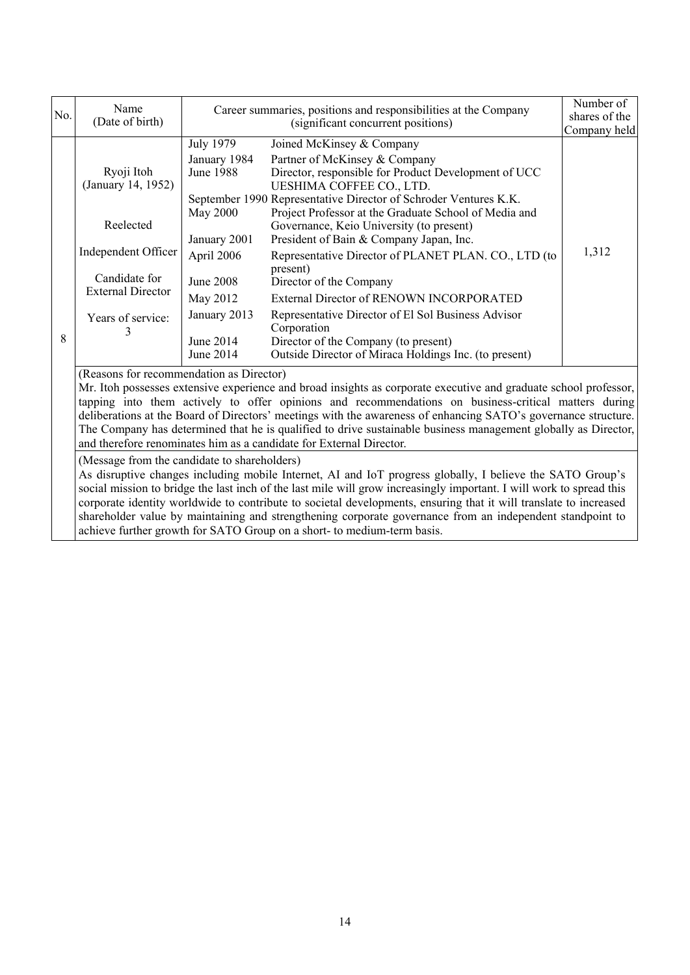| No. | Name<br>(Date of birth)                                                                                                                                                                                                                                                                                                                                                                                                                                                                                                                                                                                                                                                                                                                                                                                                                                                                                                                                                                                                                                                                                                                                                           | Career summaries, positions and responsibilities at the Company<br>(significant concurrent positions)                                                                    |                                                                                                                                                                                                                                                                                                                                                                                                                                                                                                                                                                                                                                                                                     | Number of<br>shares of the<br>Company held |  |
|-----|-----------------------------------------------------------------------------------------------------------------------------------------------------------------------------------------------------------------------------------------------------------------------------------------------------------------------------------------------------------------------------------------------------------------------------------------------------------------------------------------------------------------------------------------------------------------------------------------------------------------------------------------------------------------------------------------------------------------------------------------------------------------------------------------------------------------------------------------------------------------------------------------------------------------------------------------------------------------------------------------------------------------------------------------------------------------------------------------------------------------------------------------------------------------------------------|--------------------------------------------------------------------------------------------------------------------------------------------------------------------------|-------------------------------------------------------------------------------------------------------------------------------------------------------------------------------------------------------------------------------------------------------------------------------------------------------------------------------------------------------------------------------------------------------------------------------------------------------------------------------------------------------------------------------------------------------------------------------------------------------------------------------------------------------------------------------------|--------------------------------------------|--|
| 8   | Ryoji Itoh<br>(January 14, 1952)<br>Reelected<br>Independent Officer<br>Candidate for<br><b>External Director</b><br>Years of service:                                                                                                                                                                                                                                                                                                                                                                                                                                                                                                                                                                                                                                                                                                                                                                                                                                                                                                                                                                                                                                            | <b>July 1979</b><br>January 1984<br><b>June 1988</b><br>May 2000<br>January 2001<br>April 2006<br><b>June 2008</b><br>May 2012<br>January 2013<br>June 2014<br>June 2014 | Joined McKinsey & Company<br>Partner of McKinsey & Company<br>Director, responsible for Product Development of UCC<br>UESHIMA COFFEE CO., LTD.<br>September 1990 Representative Director of Schroder Ventures K.K.<br>Project Professor at the Graduate School of Media and<br>Governance, Keio University (to present)<br>President of Bain & Company Japan, Inc.<br>Representative Director of PLANET PLAN. CO., LTD (to<br>present)<br>Director of the Company<br>External Director of RENOWN INCORPORATED<br>Representative Director of El Sol Business Advisor<br>Corporation<br>Director of the Company (to present)<br>Outside Director of Miraca Holdings Inc. (to present) | 1,312                                      |  |
|     | (Reasons for recommendation as Director)<br>Mr. Itoh possesses extensive experience and broad insights as corporate executive and graduate school professor,<br>tapping into them actively to offer opinions and recommendations on business-critical matters during<br>deliberations at the Board of Directors' meetings with the awareness of enhancing SATO's governance structure.<br>The Company has determined that he is qualified to drive sustainable business management globally as Director,<br>and therefore renominates him as a candidate for External Director.<br>(Message from the candidate to shareholders)<br>As disruptive changes including mobile Internet, AI and IoT progress globally, I believe the SATO Group's<br>social mission to bridge the last inch of the last mile will grow increasingly important. I will work to spread this<br>corporate identity worldwide to contribute to societal developments, ensuring that it will translate to increased<br>shareholder value by maintaining and strengthening corporate governance from an independent standpoint to<br>achieve further growth for SATO Group on a short- to medium-term basis. |                                                                                                                                                                          |                                                                                                                                                                                                                                                                                                                                                                                                                                                                                                                                                                                                                                                                                     |                                            |  |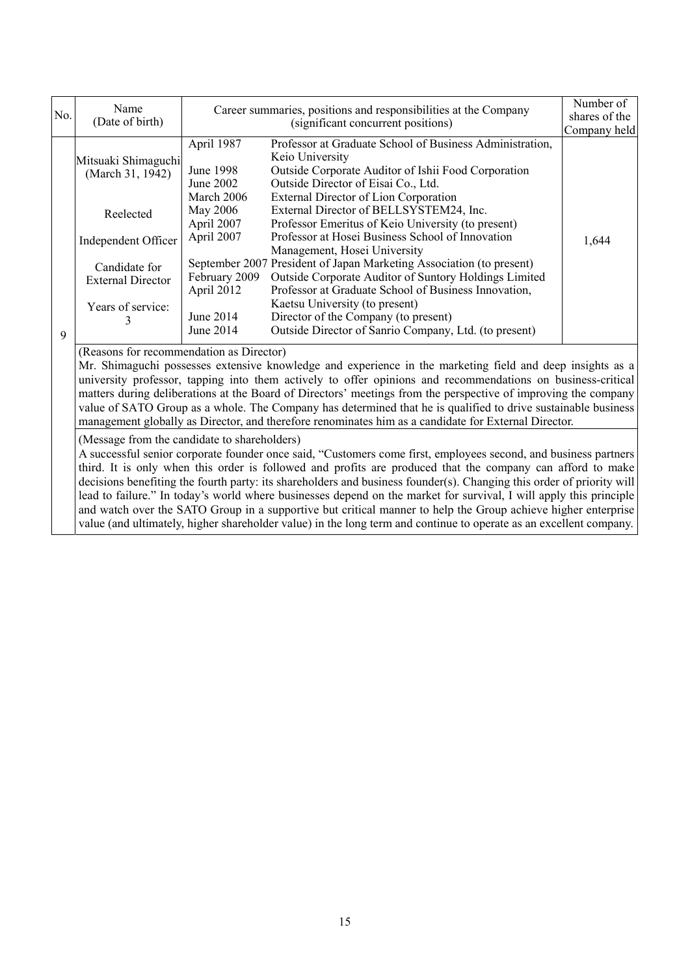| No. | Name<br>(Date of birth)                                                                                                                                                                                                                                                                                                                                                                                                                                                                                                                                                                                                                                                                                                                                                            | Career summaries, positions and responsibilities at the Company<br>(significant concurrent positions)                                               |                                                                                                                                                                                                                                                                                                                                                                                                                                                                                                                                                                                                                                                                                                                                     | Number of<br>shares of the<br>Company held |  |
|-----|------------------------------------------------------------------------------------------------------------------------------------------------------------------------------------------------------------------------------------------------------------------------------------------------------------------------------------------------------------------------------------------------------------------------------------------------------------------------------------------------------------------------------------------------------------------------------------------------------------------------------------------------------------------------------------------------------------------------------------------------------------------------------------|-----------------------------------------------------------------------------------------------------------------------------------------------------|-------------------------------------------------------------------------------------------------------------------------------------------------------------------------------------------------------------------------------------------------------------------------------------------------------------------------------------------------------------------------------------------------------------------------------------------------------------------------------------------------------------------------------------------------------------------------------------------------------------------------------------------------------------------------------------------------------------------------------------|--------------------------------------------|--|
| 9   | Mitsuaki Shimaguchi<br>(March 31, 1942)<br>Reelected<br>Independent Officer<br>Candidate for<br><b>External Director</b><br>Years of service:                                                                                                                                                                                                                                                                                                                                                                                                                                                                                                                                                                                                                                      | April 1987<br>June 1998<br>June 2002<br>March 2006<br>May 2006<br>April 2007<br>April 2007<br>February 2009<br>April 2012<br>June 2014<br>June 2014 | Professor at Graduate School of Business Administration,<br>Keio University<br>Outside Corporate Auditor of Ishii Food Corporation<br>Outside Director of Eisai Co., Ltd.<br>External Director of Lion Corporation<br>External Director of BELLSYSTEM24, Inc.<br>Professor Emeritus of Keio University (to present)<br>Professor at Hosei Business School of Innovation<br>Management, Hosei University<br>September 2007 President of Japan Marketing Association (to present)<br>Outside Corporate Auditor of Suntory Holdings Limited<br>Professor at Graduate School of Business Innovation,<br>Kaetsu University (to present)<br>Director of the Company (to present)<br>Outside Director of Sanrio Company, Ltd. (to present) | 1,644                                      |  |
|     | (Reasons for recommendation as Director)<br>Mr. Shimaguchi possesses extensive knowledge and experience in the marketing field and deep insights as a<br>university professor, tapping into them actively to offer opinions and recommendations on business-critical<br>matters during deliberations at the Board of Directors' meetings from the perspective of improving the company<br>value of SATO Group as a whole. The Company has determined that he is qualified to drive sustainable business<br>management globally as Director, and therefore renominates him as a candidate for External Director.<br>(Message from the candidate to shareholders)<br>A successful senior corporate founder once said, "Customers come first, employees second, and business partners |                                                                                                                                                     |                                                                                                                                                                                                                                                                                                                                                                                                                                                                                                                                                                                                                                                                                                                                     |                                            |  |

third. It is only when this order is followed and profits are produced that the company can afford to make decisions benefiting the fourth party: its shareholders and business founder(s). Changing this order of priority will lead to failure." In today's world where businesses depend on the market for survival, I will apply this principle and watch over the SATO Group in a supportive but critical manner to help the Group achieve higher enterprise value (and ultimately, higher shareholder value) in the long term and continue to operate as an excellent company.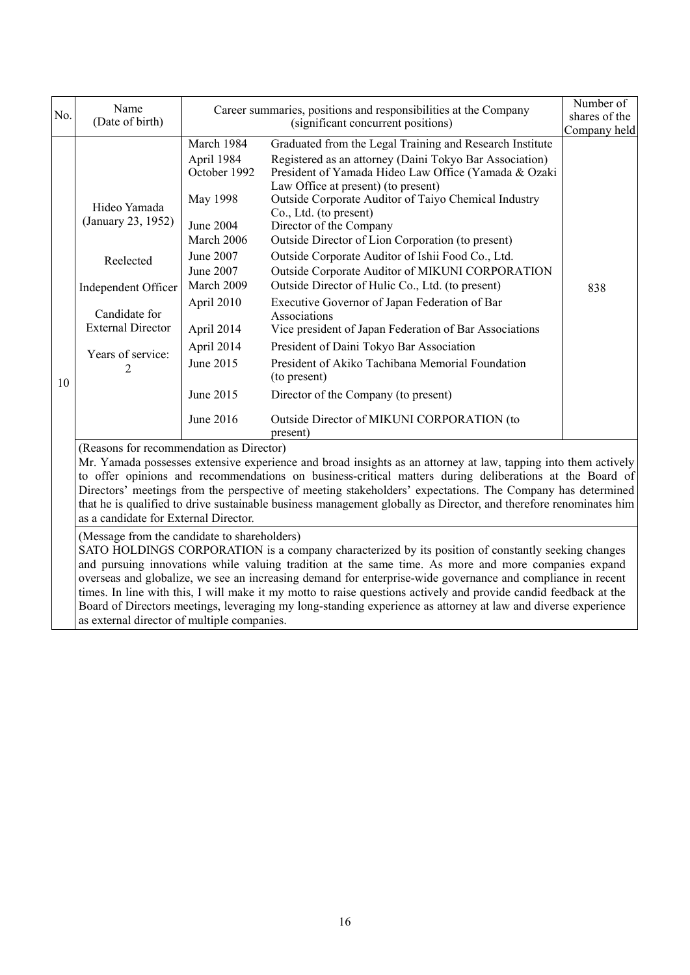|     |                                                                                                                                                                                                                                                                                                                                                                                                                                                                                                         |                                                                                                       |                                                                                                         | Number of     |  |
|-----|---------------------------------------------------------------------------------------------------------------------------------------------------------------------------------------------------------------------------------------------------------------------------------------------------------------------------------------------------------------------------------------------------------------------------------------------------------------------------------------------------------|-------------------------------------------------------------------------------------------------------|---------------------------------------------------------------------------------------------------------|---------------|--|
| No. | Name<br>(Date of birth)                                                                                                                                                                                                                                                                                                                                                                                                                                                                                 | Career summaries, positions and responsibilities at the Company<br>(significant concurrent positions) |                                                                                                         | shares of the |  |
|     |                                                                                                                                                                                                                                                                                                                                                                                                                                                                                                         |                                                                                                       |                                                                                                         | Company held  |  |
|     |                                                                                                                                                                                                                                                                                                                                                                                                                                                                                                         | March 1984                                                                                            | Graduated from the Legal Training and Research Institute                                                |               |  |
|     |                                                                                                                                                                                                                                                                                                                                                                                                                                                                                                         | April 1984                                                                                            | Registered as an attorney (Daini Tokyo Bar Association)                                                 |               |  |
|     |                                                                                                                                                                                                                                                                                                                                                                                                                                                                                                         | October 1992                                                                                          | President of Yamada Hideo Law Office (Yamada & Ozaki                                                    |               |  |
|     |                                                                                                                                                                                                                                                                                                                                                                                                                                                                                                         |                                                                                                       | Law Office at present) (to present)                                                                     |               |  |
|     | Hideo Yamada                                                                                                                                                                                                                                                                                                                                                                                                                                                                                            | May 1998                                                                                              | Outside Corporate Auditor of Taiyo Chemical Industry<br>Co., Ltd. (to present)                          |               |  |
|     | (January 23, 1952)                                                                                                                                                                                                                                                                                                                                                                                                                                                                                      | <b>June 2004</b>                                                                                      | Director of the Company                                                                                 |               |  |
|     |                                                                                                                                                                                                                                                                                                                                                                                                                                                                                                         | March 2006                                                                                            | Outside Director of Lion Corporation (to present)                                                       |               |  |
|     |                                                                                                                                                                                                                                                                                                                                                                                                                                                                                                         | June 2007                                                                                             | Outside Corporate Auditor of Ishii Food Co., Ltd.                                                       |               |  |
|     | Reelected                                                                                                                                                                                                                                                                                                                                                                                                                                                                                               | June 2007                                                                                             | Outside Corporate Auditor of MIKUNI CORPORATION                                                         |               |  |
|     | Independent Officer                                                                                                                                                                                                                                                                                                                                                                                                                                                                                     | March 2009                                                                                            | Outside Director of Hulic Co., Ltd. (to present)                                                        | 838           |  |
|     |                                                                                                                                                                                                                                                                                                                                                                                                                                                                                                         | April 2010                                                                                            | Executive Governor of Japan Federation of Bar                                                           |               |  |
|     | Candidate for                                                                                                                                                                                                                                                                                                                                                                                                                                                                                           |                                                                                                       | Associations                                                                                            |               |  |
|     | <b>External Director</b>                                                                                                                                                                                                                                                                                                                                                                                                                                                                                | April 2014                                                                                            | Vice president of Japan Federation of Bar Associations                                                  |               |  |
|     | Years of service:                                                                                                                                                                                                                                                                                                                                                                                                                                                                                       | April 2014                                                                                            | President of Daini Tokyo Bar Association                                                                |               |  |
|     |                                                                                                                                                                                                                                                                                                                                                                                                                                                                                                         | June 2015                                                                                             | President of Akiko Tachibana Memorial Foundation                                                        |               |  |
| 10  |                                                                                                                                                                                                                                                                                                                                                                                                                                                                                                         |                                                                                                       | (to present)                                                                                            |               |  |
|     |                                                                                                                                                                                                                                                                                                                                                                                                                                                                                                         | June 2015                                                                                             | Director of the Company (to present)                                                                    |               |  |
|     |                                                                                                                                                                                                                                                                                                                                                                                                                                                                                                         | June 2016                                                                                             | Outside Director of MIKUNI CORPORATION (to<br>present)                                                  |               |  |
|     | (Reasons for recommendation as Director)                                                                                                                                                                                                                                                                                                                                                                                                                                                                |                                                                                                       |                                                                                                         |               |  |
|     | Mr. Yamada possesses extensive experience and broad insights as an attorney at law, tapping into them actively                                                                                                                                                                                                                                                                                                                                                                                          |                                                                                                       |                                                                                                         |               |  |
|     |                                                                                                                                                                                                                                                                                                                                                                                                                                                                                                         |                                                                                                       | to offer opinions and recommendations on business-critical matters during deliberations at the Board of |               |  |
|     | Directors' meetings from the perspective of meeting stakeholders' expectations. The Company has determined<br>that he is qualified to drive sustainable business management globally as Director, and therefore renominates him                                                                                                                                                                                                                                                                         |                                                                                                       |                                                                                                         |               |  |
|     | as a candidate for External Director.                                                                                                                                                                                                                                                                                                                                                                                                                                                                   |                                                                                                       |                                                                                                         |               |  |
|     |                                                                                                                                                                                                                                                                                                                                                                                                                                                                                                         |                                                                                                       |                                                                                                         |               |  |
|     | (Message from the candidate to shareholders)<br>SATO HOLDINGS CORPORATION is a company characterized by its position of constantly seeking changes                                                                                                                                                                                                                                                                                                                                                      |                                                                                                       |                                                                                                         |               |  |
|     | and pursuing innovations while valuing tradition at the same time. As more and more companies expand<br>overseas and globalize, we see an increasing demand for enterprise-wide governance and compliance in recent<br>times. In line with this, I will make it my motto to raise questions actively and provide candid feedback at the<br>Board of Directors meetings, leveraging my long-standing experience as attorney at law and diverse experience<br>as external director of multiple companies. |                                                                                                       |                                                                                                         |               |  |
|     |                                                                                                                                                                                                                                                                                                                                                                                                                                                                                                         |                                                                                                       |                                                                                                         |               |  |
|     |                                                                                                                                                                                                                                                                                                                                                                                                                                                                                                         |                                                                                                       |                                                                                                         |               |  |
|     |                                                                                                                                                                                                                                                                                                                                                                                                                                                                                                         |                                                                                                       |                                                                                                         |               |  |
|     |                                                                                                                                                                                                                                                                                                                                                                                                                                                                                                         |                                                                                                       |                                                                                                         |               |  |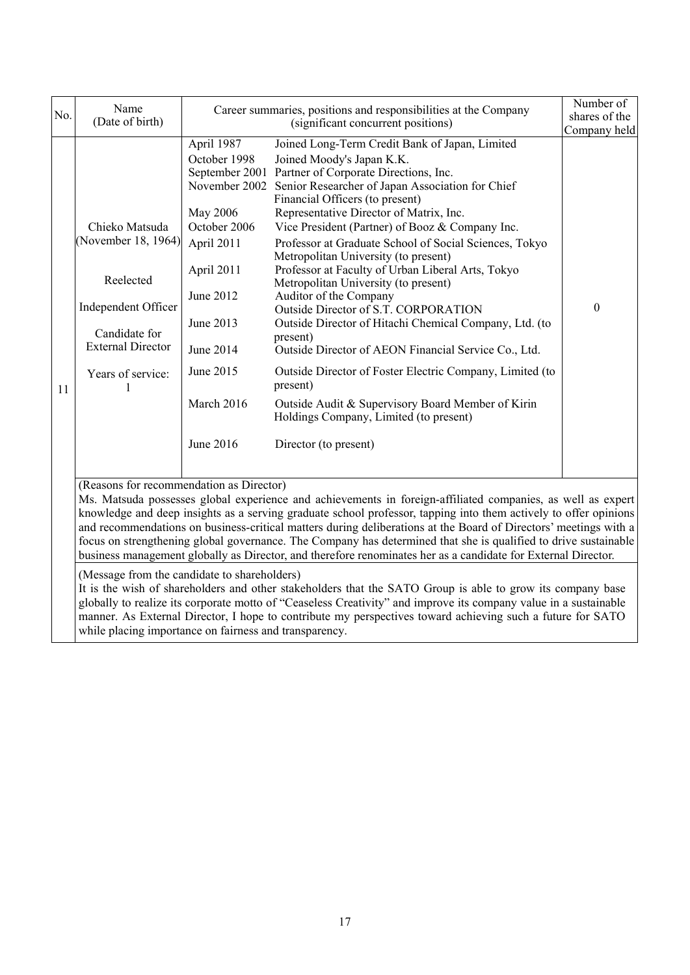| No. | Name<br>(Date of birth)                                                                                                                                                                                                                                                                                                                                                                                                                                                                                                                                                                                                             | Career summaries, positions and responsibilities at the Company<br>(significant concurrent positions)                                                                              |                                                                                                                                                                                                                                                                                                                                                                                                                                                                                                                                                                                                                                                                                                                                                                                                                                                                                                                         | Number of<br>shares of the<br>Company held |
|-----|-------------------------------------------------------------------------------------------------------------------------------------------------------------------------------------------------------------------------------------------------------------------------------------------------------------------------------------------------------------------------------------------------------------------------------------------------------------------------------------------------------------------------------------------------------------------------------------------------------------------------------------|------------------------------------------------------------------------------------------------------------------------------------------------------------------------------------|-------------------------------------------------------------------------------------------------------------------------------------------------------------------------------------------------------------------------------------------------------------------------------------------------------------------------------------------------------------------------------------------------------------------------------------------------------------------------------------------------------------------------------------------------------------------------------------------------------------------------------------------------------------------------------------------------------------------------------------------------------------------------------------------------------------------------------------------------------------------------------------------------------------------------|--------------------------------------------|
| 11  | Chieko Matsuda<br>(November 18, 1964)<br>Reelected<br>Independent Officer<br>Candidate for<br><b>External Director</b><br>Years of service:                                                                                                                                                                                                                                                                                                                                                                                                                                                                                         | April 1987<br>October 1998<br>November 2002<br>May 2006<br>October 2006<br>April 2011<br>April 2011<br>June 2012<br>June 2013<br>June 2014<br>June 2015<br>March 2016<br>June 2016 | Joined Long-Term Credit Bank of Japan, Limited<br>Joined Moody's Japan K.K.<br>September 2001 Partner of Corporate Directions, Inc.<br>Senior Researcher of Japan Association for Chief<br>Financial Officers (to present)<br>Representative Director of Matrix, Inc.<br>Vice President (Partner) of Booz & Company Inc.<br>Professor at Graduate School of Social Sciences, Tokyo<br>Metropolitan University (to present)<br>Professor at Faculty of Urban Liberal Arts, Tokyo<br>Metropolitan University (to present)<br>Auditor of the Company<br>Outside Director of S.T. CORPORATION<br>Outside Director of Hitachi Chemical Company, Ltd. (to<br>present)<br>Outside Director of AEON Financial Service Co., Ltd.<br>Outside Director of Foster Electric Company, Limited (to<br>present)<br>Outside Audit & Supervisory Board Member of Kirin<br>Holdings Company, Limited (to present)<br>Director (to present) | $\boldsymbol{0}$                           |
|     | (Reasons for recommendation as Director)<br>Ms. Matsuda possesses global experience and achievements in foreign-affiliated companies, as well as expert<br>knowledge and deep insights as a serving graduate school professor, tapping into them actively to offer opinions<br>and recommendations on business-critical matters during deliberations at the Board of Directors' meetings with a<br>focus on strengthening global governance. The Company has determined that she is qualified to drive sustainable<br>business management globally as Director, and therefore renominates her as a candidate for External Director. |                                                                                                                                                                                    |                                                                                                                                                                                                                                                                                                                                                                                                                                                                                                                                                                                                                                                                                                                                                                                                                                                                                                                         |                                            |
|     | (Message from the candidate to shareholders)<br>It is the wish of shareholders and other stakeholders that the SATO Group is able to grow its company base<br>globally to realize its corporate motto of "Ceaseless Creativity" and improve its company value in a sustainable<br>manner. As External Director, I hope to contribute my perspectives toward achieving such a future for SATO<br>while placing importance on fairness and transparency.                                                                                                                                                                              |                                                                                                                                                                                    |                                                                                                                                                                                                                                                                                                                                                                                                                                                                                                                                                                                                                                                                                                                                                                                                                                                                                                                         |                                            |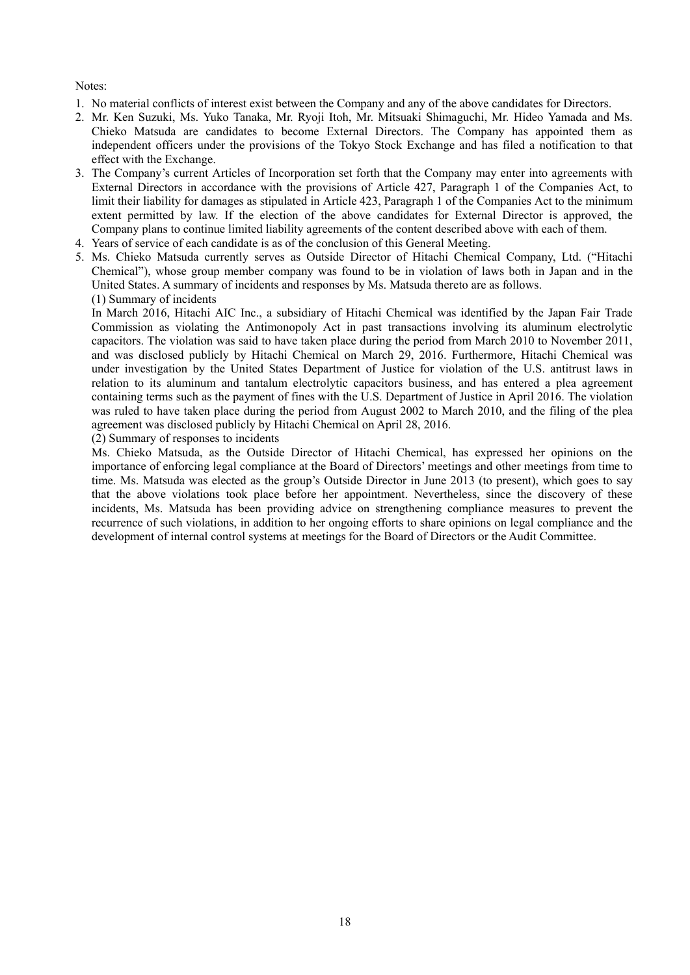## Notes:

- 1. No material conflicts of interest exist between the Company and any of the above candidates for Directors.
- 2. Mr. Ken Suzuki, Ms. Yuko Tanaka, Mr. Ryoji Itoh, Mr. Mitsuaki Shimaguchi, Mr. Hideo Yamada and Ms. Chieko Matsuda are candidates to become External Directors. The Company has appointed them as independent officers under the provisions of the Tokyo Stock Exchange and has filed a notification to that effect with the Exchange.
- 3. The Company's current Articles of Incorporation set forth that the Company may enter into agreements with External Directors in accordance with the provisions of Article 427, Paragraph 1 of the Companies Act, to limit their liability for damages as stipulated in Article 423, Paragraph 1 of the Companies Act to the minimum extent permitted by law. If the election of the above candidates for External Director is approved, the Company plans to continue limited liability agreements of the content described above with each of them.
- 4. Years of service of each candidate is as of the conclusion of this General Meeting.
- 5. Ms. Chieko Matsuda currently serves as Outside Director of Hitachi Chemical Company, Ltd. ("Hitachi Chemical"), whose group member company was found to be in violation of laws both in Japan and in the United States. A summary of incidents and responses by Ms. Matsuda thereto are as follows. (1) Summary of incidents

In March 2016, Hitachi AIC Inc., a subsidiary of Hitachi Chemical was identified by the Japan Fair Trade Commission as violating the Antimonopoly Act in past transactions involving its aluminum electrolytic capacitors. The violation was said to have taken place during the period from March 2010 to November 2011, and was disclosed publicly by Hitachi Chemical on March 29, 2016. Furthermore, Hitachi Chemical was under investigation by the United States Department of Justice for violation of the U.S. antitrust laws in relation to its aluminum and tantalum electrolytic capacitors business, and has entered a plea agreement containing terms such as the payment of fines with the U.S. Department of Justice in April 2016. The violation was ruled to have taken place during the period from August 2002 to March 2010, and the filing of the plea agreement was disclosed publicly by Hitachi Chemical on April 28, 2016.

(2) Summary of responses to incidents

Ms. Chieko Matsuda, as the Outside Director of Hitachi Chemical, has expressed her opinions on the importance of enforcing legal compliance at the Board of Directors' meetings and other meetings from time to time. Ms. Matsuda was elected as the group's Outside Director in June 2013 (to present), which goes to say that the above violations took place before her appointment. Nevertheless, since the discovery of these incidents, Ms. Matsuda has been providing advice on strengthening compliance measures to prevent the recurrence of such violations, in addition to her ongoing efforts to share opinions on legal compliance and the development of internal control systems at meetings for the Board of Directors or the Audit Committee.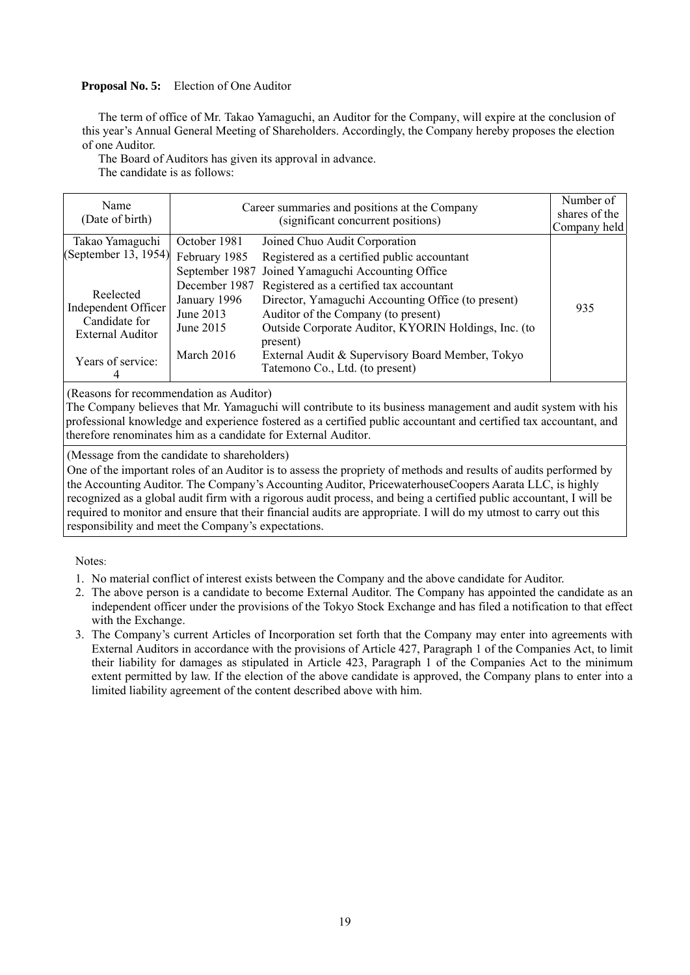# **Proposal No. 5:** Election of One Auditor

The term of office of Mr. Takao Yamaguchi, an Auditor for the Company, will expire at the conclusion of this year's Annual General Meeting of Shareholders. Accordingly, the Company hereby proposes the election of one Auditor.

The Board of Auditors has given its approval in advance.

The candidate is as follows:

| Name<br>(Date of birth)                                                                           | Career summaries and positions at the Company<br>(significant concurrent positions) |                                                                                                                                                                                                                                                                                                  | Number of<br>shares of the<br>Company held |
|---------------------------------------------------------------------------------------------------|-------------------------------------------------------------------------------------|--------------------------------------------------------------------------------------------------------------------------------------------------------------------------------------------------------------------------------------------------------------------------------------------------|--------------------------------------------|
| Takao Yamaguchi                                                                                   | October 1981                                                                        | Joined Chuo Audit Corporation                                                                                                                                                                                                                                                                    |                                            |
| (September 13, 1954)                                                                              | February 1985                                                                       | Registered as a certified public accountant                                                                                                                                                                                                                                                      |                                            |
|                                                                                                   | September 1987                                                                      | Joined Yamaguchi Accounting Office                                                                                                                                                                                                                                                               |                                            |
| Reelected<br>Independent Officer<br>Candidate for<br><b>External Auditor</b><br>Years of service: | December 1987<br>January 1996<br>June 2013<br>June 2015<br>March 2016               | Registered as a certified tax accountant<br>Director, Yamaguchi Accounting Office (to present)<br>Auditor of the Company (to present)<br>Outside Corporate Auditor, KYORIN Holdings, Inc. (to<br>present)<br>External Audit & Supervisory Board Member, Tokyo<br>Tatemono Co., Ltd. (to present) | 935                                        |

(Reasons for recommendation as Auditor)

The Company believes that Mr. Yamaguchi will contribute to its business management and audit system with his professional knowledge and experience fostered as a certified public accountant and certified tax accountant, and therefore renominates him as a candidate for External Auditor.

(Message from the candidate to shareholders)

One of the important roles of an Auditor is to assess the propriety of methods and results of audits performed by the Accounting Auditor. The Company's Accounting Auditor, PricewaterhouseCoopers Aarata LLC, is highly recognized as a global audit firm with a rigorous audit process, and being a certified public accountant, I will be required to monitor and ensure that their financial audits are appropriate. I will do my utmost to carry out this responsibility and meet the Company's expectations.

Notes:

- 1. No material conflict of interest exists between the Company and the above candidate for Auditor.
- 2. The above person is a candidate to become External Auditor. The Company has appointed the candidate as an independent officer under the provisions of the Tokyo Stock Exchange and has filed a notification to that effect with the Exchange.
- 3. The Company's current Articles of Incorporation set forth that the Company may enter into agreements with External Auditors in accordance with the provisions of Article 427, Paragraph 1 of the Companies Act, to limit their liability for damages as stipulated in Article 423, Paragraph 1 of the Companies Act to the minimum extent permitted by law. If the election of the above candidate is approved, the Company plans to enter into a limited liability agreement of the content described above with him.